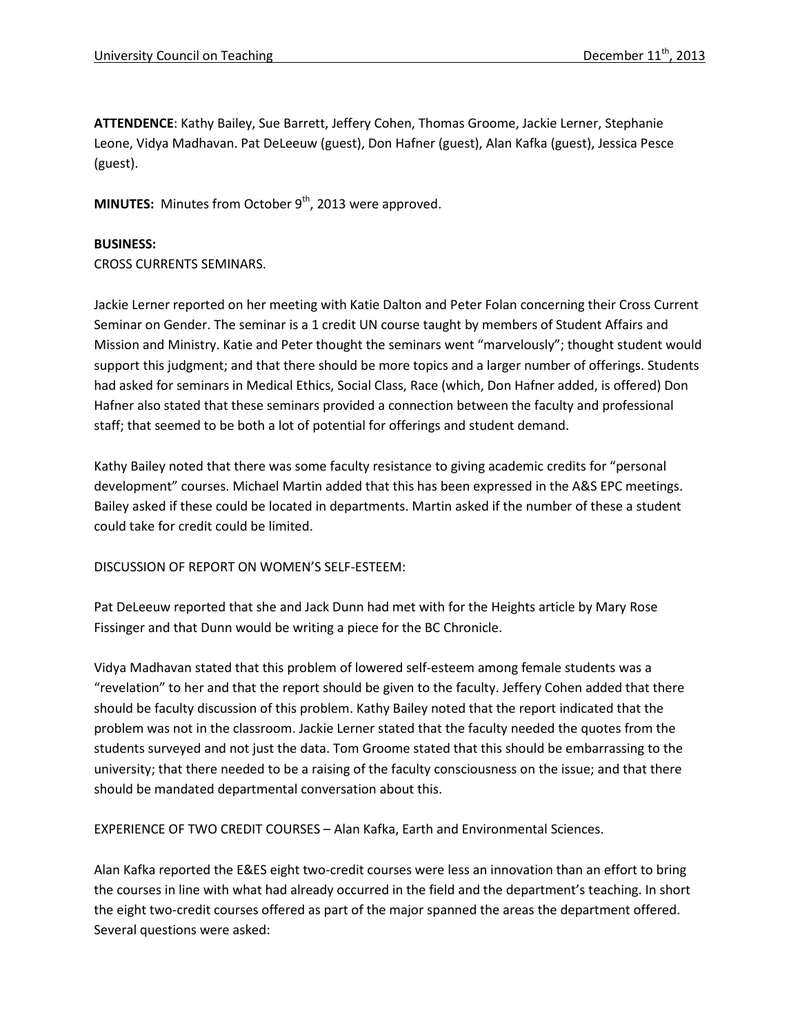**ATTENDENCE**: Kathy Bailey, Sue Barrett, Jeffery Cohen, Thomas Groome, Jackie Lerner, Stephanie Leone, Vidya Madhavan. Pat DeLeeuw (guest), Don Hafner (guest), Alan Kafka (guest), Jessica Pesce (guest).

**MINUTES:** Minutes from October 9<sup>th</sup>, 2013 were approved.

## **BUSINESS:**

CROSS CURRENTS SEMINARS.

Jackie Lerner reported on her meeting with Katie Dalton and Peter Folan concerning their Cross Current Seminar on Gender. The seminar is a 1 credit UN course taught by members of Student Affairs and Mission and Ministry. Katie and Peter thought the seminars went "marvelously"; thought student would support this judgment; and that there should be more topics and a larger number of offerings. Students had asked for seminars in Medical Ethics, Social Class, Race (which, Don Hafner added, is offered) Don Hafner also stated that these seminars provided a connection between the faculty and professional staff; that seemed to be both a lot of potential for offerings and student demand.

Kathy Bailey noted that there was some faculty resistance to giving academic credits for "personal development" courses. Michael Martin added that this has been expressed in the A&S EPC meetings. Bailey asked if these could be located in departments. Martin asked if the number of these a student could take for credit could be limited.

## DISCUSSION OF REPORT ON WOMEN'S SELF-ESTEEM:

Pat DeLeeuw reported that she and Jack Dunn had met with for the Heights article by Mary Rose Fissinger and that Dunn would be writing a piece for the BC Chronicle.

Vidya Madhavan stated that this problem of lowered self-esteem among female students was a "revelation" to her and that the report should be given to the faculty. Jeffery Cohen added that there should be faculty discussion of this problem. Kathy Bailey noted that the report indicated that the problem was not in the classroom. Jackie Lerner stated that the faculty needed the quotes from the students surveyed and not just the data. Tom Groome stated that this should be embarrassing to the university; that there needed to be a raising of the faculty consciousness on the issue; and that there should be mandated departmental conversation about this.

EXPERIENCE OF TWO CREDIT COURSES – Alan Kafka, Earth and Environmental Sciences.

Alan Kafka reported the E&ES eight two-credit courses were less an innovation than an effort to bring the courses in line with what had already occurred in the field and the department's teaching. In short the eight two-credit courses offered as part of the major spanned the areas the department offered. Several questions were asked: